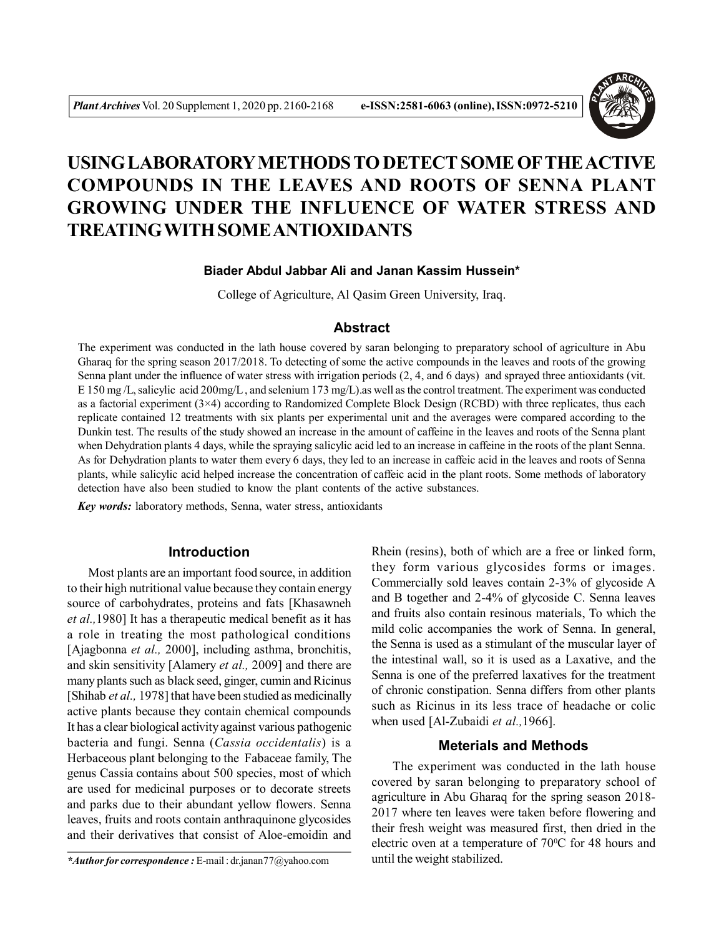

# **USING LABORATORY METHODS TO DETECT SOME OFTHE ACTIVE COMPOUNDS IN THE LEAVES AND ROOTS OF SENNA PLANT GROWING UNDER THE INFLUENCE OF WATER STRESS AND TREATINGWITH SOME ANTIOXIDANTS**

## **Biader Abdul Jabbar Ali and Janan Kassim Hussein\***

College of Agriculture, Al Qasim Green University, Iraq.

## **Abstract**

The experiment was conducted in the lath house covered by saran belonging to preparatory school of agriculture in Abu Gharaq for the spring season 2017/2018. To detecting of some the active compounds in the leaves and roots of the growing Senna plant under the influence of water stress with irrigation periods (2, 4, and 6 days) and sprayed three antioxidants (vit. E 150 mg /L, salicylic acid 200mg/L , and selenium 173 mg/L).as well as the control treatment. The experiment was conducted as a factorial experiment (3×4) according to Randomized Complete Block Design (RCBD) with three replicates, thus each replicate contained 12 treatments with six plants per experimental unit and the averages were compared according to the Dunkin test. The results of the study showed an increase in the amount of caffeine in the leaves and roots of the Senna plant when Dehydration plants 4 days, while the spraying salicylic acid led to an increase in caffeine in the roots of the plant Senna. As for Dehydration plants to water them every 6 days, they led to an increase in caffeic acid in the leaves and roots of Senna plants, while salicylic acid helped increase the concentration of caffeic acid in the plant roots. Some methods of laboratory detection have also been studied to know the plant contents of the active substances.

*Key words:* laboratory methods, Senna, water stress, antioxidants

## **Introduction**

Most plants are an important food source, in addition to their high nutritional value because they contain energy source of carbohydrates, proteins and fats [Khasawneh *et al.,*1980] It has a therapeutic medical benefit as it has a role in treating the most pathological conditions [Ajagbonna *et al.,* 2000], including asthma, bronchitis, and skin sensitivity [Alamery *et al.,* 2009] and there are many plants such as black seed, ginger, cumin and Ricinus [Shihab *et al.*, 1978] that have been studied as medicinally active plants because they contain chemical compounds It has a clear biological activity against various pathogenic bacteria and fungi. Senna (*Cassia occidentalis*) is a Herbaceous plant belonging to the Fabaceae family, The genus Cassia contains about 500 species, most of which are used for medicinal purposes or to decorate streets and parks due to their abundant yellow flowers. Senna leaves, fruits and roots contain anthraquinone glycosides and their derivatives that consist of Aloe-emoidin and

Rhein (resins), both of which are a free or linked form, they form various glycosides forms or images. Commercially sold leaves contain 2-3% of glycoside A and B together and 2-4% of glycoside C. Senna leaves and fruits also contain resinous materials, To which the mild colic accompanies the work of Senna. In general, the Senna is used as a stimulant of the muscular layer of the intestinal wall, so it is used as a Laxative, and the Senna is one of the preferred laxatives for the treatment of chronic constipation. Senna differs from other plants such as Ricinus in its less trace of headache or colic when used [Al-Zubaidi *et al.,*1966].

#### **Meterials and Methods**

The experiment was conducted in the lath house covered by saran belonging to preparatory school of agriculture in Abu Gharaq for the spring season 2018- 2017 where ten leaves were taken before flowering and their fresh weight was measured first, then dried in the electric oven at a temperature of 70°C for 48 hours and until the weight stabilized.

*<sup>\*</sup>Author for correspondence :* E-mail : dr.janan77@yahoo.com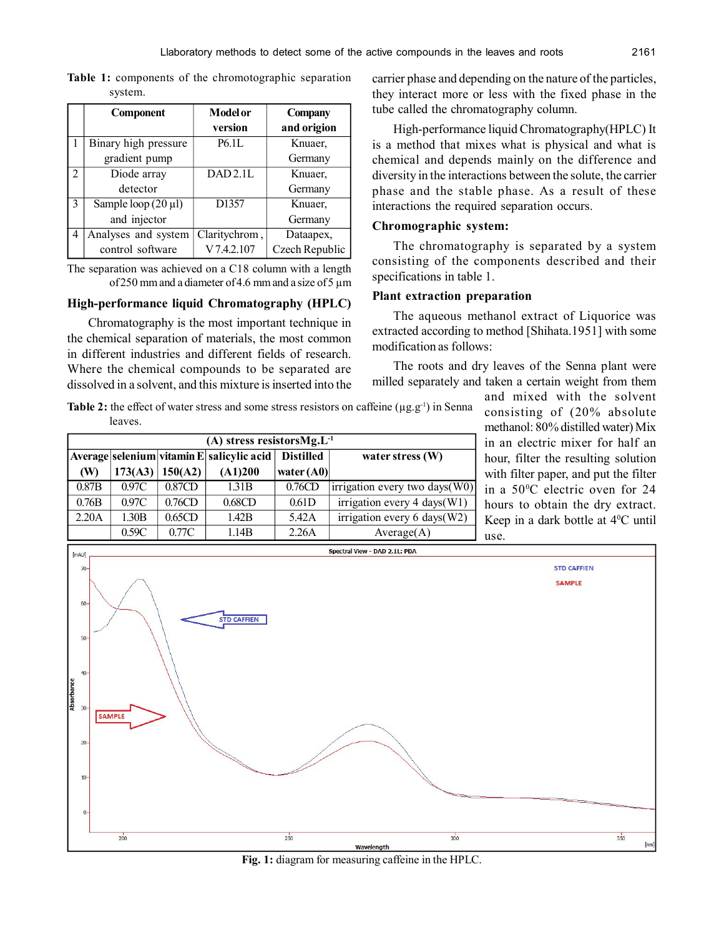**Table 1:** components of the chromotographic separation system.

|              | Component                | <b>Model or</b><br>version | <b>Company</b><br>and origion |
|--------------|--------------------------|----------------------------|-------------------------------|
|              | Binary high pressure     | P6.1L                      | Knuaer,                       |
|              | gradient pump            |                            | Germany                       |
| 2            | Diode array              | DAD2.1L                    | Knuaer.                       |
|              | detector                 |                            | Germany                       |
| $\mathbf{3}$ | Sample loop $(20 \mu l)$ | D1357                      | Knuaer.                       |
|              | and injector             |                            | Germany                       |
| 4            | Analyses and system      | Claritychrom,              | Dataapex,                     |
|              | control software         | V 7.4.2.107                | Czech Republic                |

The separation was achieved on a C18 column with a length of 250 mm and a diameter of 4.6 mm and a size of 5 µm

#### **High-performance liquid Chromatography (HPLC)**

Chromatography is the most important technique in the chemical separation of materials, the most common in different industries and different fields of research. Where the chemical compounds to be separated are dissolved in a solvent, and this mixture is inserted into the carrier phase and depending on the nature of the particles, they interact more or less with the fixed phase in the tube called the chromatography column.

High-performance liquid Chromatography(HPLC) It is a method that mixes what is physical and what is chemical and depends mainly on the difference and diversity in the interactions between the solute, the carrier phase and the stable phase. As a result of these interactions the required separation occurs.

#### **Chromographic system:**

The chromatography is separated by a system consisting of the components described and their specifications in table 1.

#### **Plant extraction preparation**

The aqueous methanol extract of Liquorice was extracted according to method [Shihata.1951] with some modification as follows:

The roots and dry leaves of the Senna plant were milled separately and taken a certain weight from them

**Table 2:** the effect of water stress and some stress resistors on caffeine  $(\mu g.g^{-1})$  in Senna leaves.

|                                                                                     | (A) stress resistors $Mg.L^{-1}$ |         |         |              |                                |  |  |  |  |
|-------------------------------------------------------------------------------------|----------------------------------|---------|---------|--------------|--------------------------------|--|--|--|--|
| Average selenium vitamin E salicylic acid<br><b>Distilled</b><br>water stress $(W)$ |                                  |         |         |              |                                |  |  |  |  |
| (W)                                                                                 | 173(A3)                          | 150(A2) | (A1)200 | water $(A0)$ |                                |  |  |  |  |
| 0.87B                                                                               | 0.97C                            | 0.87CD  | 1.31B   | 0.76CD       | irrigation every two days(W0)  |  |  |  |  |
| 0.76B                                                                               | 0.97C                            | 0.76CD  | 0.68CD  | 0.61D        | irrigation every 4 days $(W1)$ |  |  |  |  |
| 2.20A                                                                               | 1.30B                            | 0.65CD  | 1.42B   | 5.42A        | irrigation every 6 days $(W2)$ |  |  |  |  |
|                                                                                     | 0.59C                            | 0.77C   | 1.14B   | 2.26A        | Average(A)                     |  |  |  |  |

and mixed with the solvent consisting of (20% absolute methanol: 80% distilled water) Mix in an electric mixer for half an hour, filter the resulting solution with filter paper, and put the filter in a 50<sup>0</sup>C electric oven for 24 hours to obtain the dry extract. Keep in a dark bottle at 4<sup>0</sup>C until use.



**Fig. 1:** diagram for measuring caffeine in the HPLC.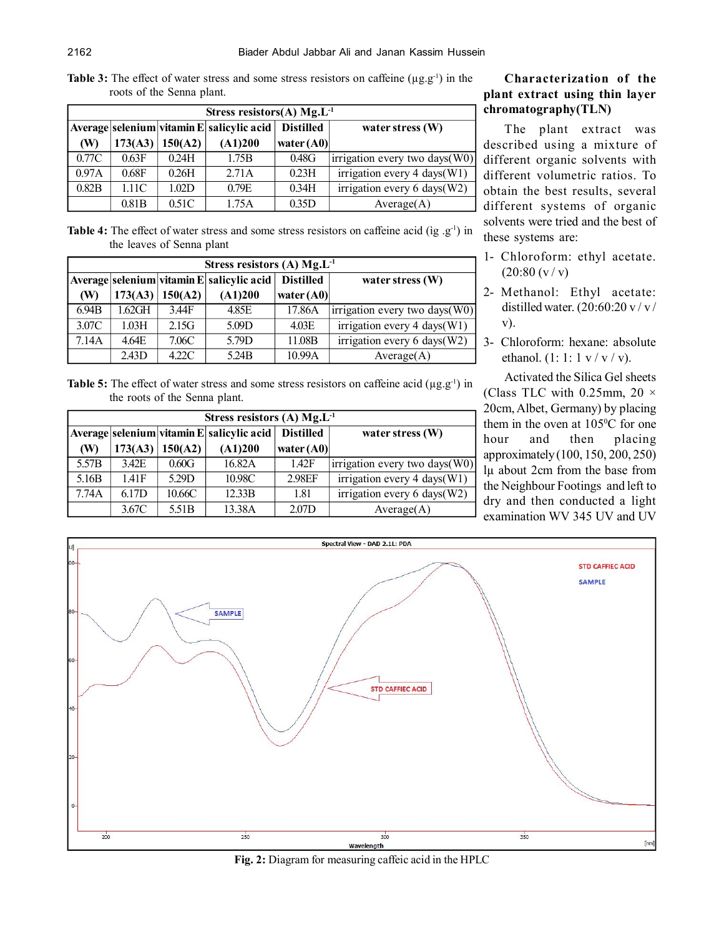**Table 3:** The effect of water stress and some stress resistors on caffeine  $(\mu g.g^{-1})$  in the roots of the Senna plant.

|       | Stress resistors(A) $Mg.L^{-1}$ |                                           |                    |              |                                |  |  |  |  |
|-------|---------------------------------|-------------------------------------------|--------------------|--------------|--------------------------------|--|--|--|--|
|       |                                 | Average selenium vitamin E salicylic acid | water stress $(W)$ |              |                                |  |  |  |  |
| (W)   | 173(A3)                         | 150(A2)                                   | (A1)200            | water $(A0)$ |                                |  |  |  |  |
| 0.77C | 0.63F                           | 0.24H                                     | 1.75B              | 0.48G        | irrigation every two days(W0)  |  |  |  |  |
| 0.97A | 0.68F                           | 0.26H                                     | 2.71A              | 0.23H        | irrigation every 4 days $(W1)$ |  |  |  |  |
| 0.82B | 1.11C                           | 1.02D                                     | 0.79E              | 0.34H        | irrigation every 6 days(W2)    |  |  |  |  |
|       | 0.81B                           | 0.51C                                     | 1.75A              | 0.35D        | Average(A)                     |  |  |  |  |

Table 4: The effect of water stress and some stress resistors on caffeine acid (ig .g<sup>-1</sup>) in the leaves of Senna plant

|       | Stress resistors (A) $Mg.L^{-1}$ |         |                                           |                  |                                |  |  |  |  |
|-------|----------------------------------|---------|-------------------------------------------|------------------|--------------------------------|--|--|--|--|
|       |                                  |         | Average selenium vitamin E salicylic acid | <b>Distilled</b> | water stress $(W)$             |  |  |  |  |
| (W)   | 173(A3)                          | 150(A2) | (A1)200                                   | water $(A0)$     |                                |  |  |  |  |
| 6.94B | $1.62$ GH                        | 3.44F   | 4.85E                                     | 17.86A           | irrigation every two days(W0)  |  |  |  |  |
| 3.07C | 1.03H                            | 2.15G   | 5.09D                                     | 4.03E            | irrigation every 4 days $(W1)$ |  |  |  |  |
| 7.14A | 4.64E                            | 7.06C   | 5.79D                                     | 11.08B           | irrigation every 6 days $(W2)$ |  |  |  |  |
|       | 2.43D                            | 4.22C   | 5.24B                                     | 10.99A           | Average(A)                     |  |  |  |  |

Table 5: The effect of water stress and some stress resistors on caffeine acid ( $\mu$ g.g<sup>-1</sup>) in the roots of the Senna plant.

|                   | Stress resistors (A) $Mg.L^{-1}$ |                                           |                  |                    |                                |  |  |  |  |
|-------------------|----------------------------------|-------------------------------------------|------------------|--------------------|--------------------------------|--|--|--|--|
|                   |                                  | Average selenium vitamin E salicylic acid | <b>Distilled</b> | water stress $(W)$ |                                |  |  |  |  |
| (W)               | 173(A3)                          | 150(A2)                                   | (A1)200          | water $(A0)$       |                                |  |  |  |  |
| 5.57B             | 3.42E                            | 0.60G                                     | 16.82A           | 1.42F              | irrigation every two days(W0)  |  |  |  |  |
| 5.16 <sub>B</sub> | 141F                             | 5.29D                                     | 10.98C           | 2.98EF             | irrigation every 4 days $(W1)$ |  |  |  |  |
| 7.74A             | 6.17D                            | 10.66C                                    | 12.33B           | 1.81               | irrigation every 6 days(W2)    |  |  |  |  |
|                   | 3.67C                            | 5.51 <sub>B</sub>                         | 13.38A           | 2.07D              | Average(A)                     |  |  |  |  |

# **Characterization of the plant extract using thin layer chromatography(TLN)**

The plant extract was described using a mixture of different organic solvents with different volumetric ratios. To obtain the best results, several different systems of organic solvents were tried and the best of these systems are:

- 1- Chloroform: ethyl acetate.  $(20:80 \, (v / v))$
- 2- Methanol: Ethyl acetate: distilled water.  $(20:60:20 \text{ v}/\text{v})$ v).
- 3- Chloroform: hexane: absolute ethanol.  $(1: 1: 1 \text{ v} / \text{ v} / \text{ v})$ .

Activated the Silica Gel sheets (Class TLC with 0.25mm,  $20 \times$ 20cm, Albet, Germany) by placing them in the oven at 105<sup>o</sup>C for one hour and then placing approximately (100, 150, 200, 250) lµ about 2cm from the base from the Neighbour Footings and left to dry and then conducted a light examination WV 345 UV and UV



**Fig. 2:** Diagram for measuring caffeic acid in the HPLC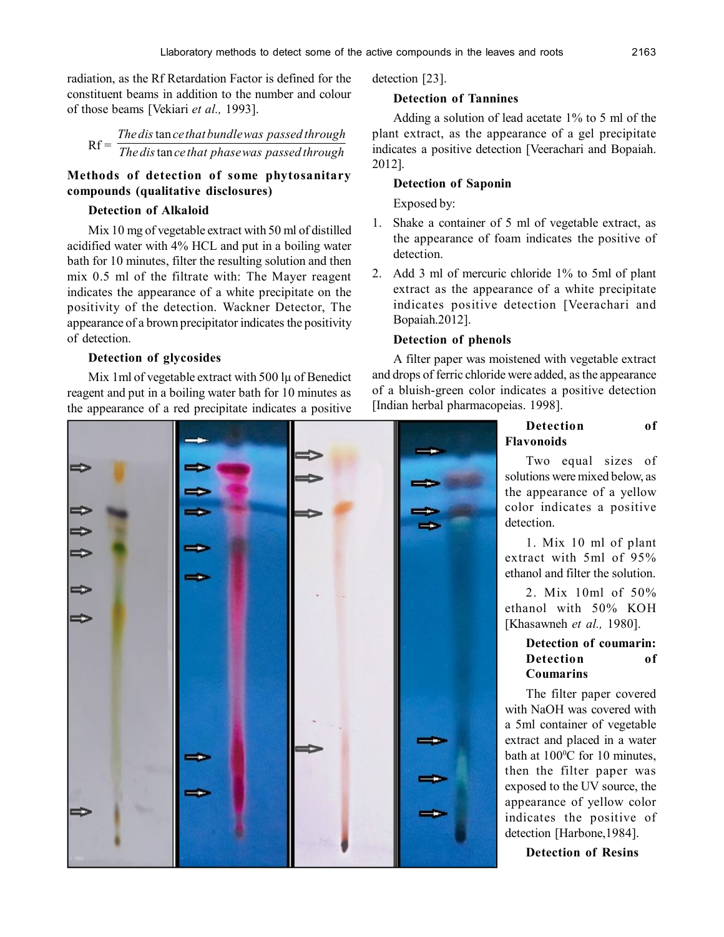radiation, as the Rf Retardation Factor is defined for the constituent beams in addition to the number and colour of those beams [Vekiari *et al.,* 1993].

Rf = *The dis ce that phasewas passed through Thedis cethat bundlewas passed through* tan tan

# **Methods of detection of some phytosanitary compounds (qualitative disclosures)**

#### **Detection of Alkaloid**

Mix 10 mg of vegetable extract with 50 ml of distilled acidified water with 4% HCL and put in a boiling water bath for 10 minutes, filter the resulting solution and then mix 0.5 ml of the filtrate with: The Mayer reagent indicates the appearance of a white precipitate on the positivity of the detection. Wackner Detector, The appearance of a brown precipitator indicates the positivity of detection.

#### **Detection of glycosides**

Mix 1ml of vegetable extract with 500 lµ of Benedict reagent and put in a boiling water bath for 10 minutes as the appearance of a red precipitate indicates a positive

detection [23].

#### **Detection of Tannines**

Adding a solution of lead acetate 1% to 5 ml of the plant extract, as the appearance of a gel precipitate indicates a positive detection [Veerachari and Bopaiah. 2012].

#### **Detection of Saponin**

Exposed by:

- 1. Shake a container of 5 ml of vegetable extract, as the appearance of foam indicates the positive of detection.
- 2. Add 3 ml of mercuric chloride 1% to 5ml of plant extract as the appearance of a white precipitate indicates positive detection [Veerachari and Bopaiah.2012].

#### **Detection of phenols**

A filter paper was moistened with vegetable extract and drops of ferric chloride were added, as the appearance of a bluish-green color indicates a positive detection [Indian herbal pharmacopeias. 1998].

# **Detection of Flavonoids**

Two equal sizes of solutions were mixed below, as the appearance of a yellow color indicates a positive detection.

1. Mix 10 ml of plant extract with 5ml of 95% ethanol and filter the solution.

2. Mix 10ml of 50% ethanol with 50% KOH [Khasawneh *et al.,* 1980].

#### **Detection of coumarin: Detection of Coumarins**

The filter paper covered with NaOH was covered with a 5ml container of vegetable extract and placed in a water bath at  $100^{\circ}$ C for 10 minutes, then the filter paper was exposed to the UV source, the appearance of yellow color indicates the positive of detection [Harbone,1984].

**Detection of Resins**

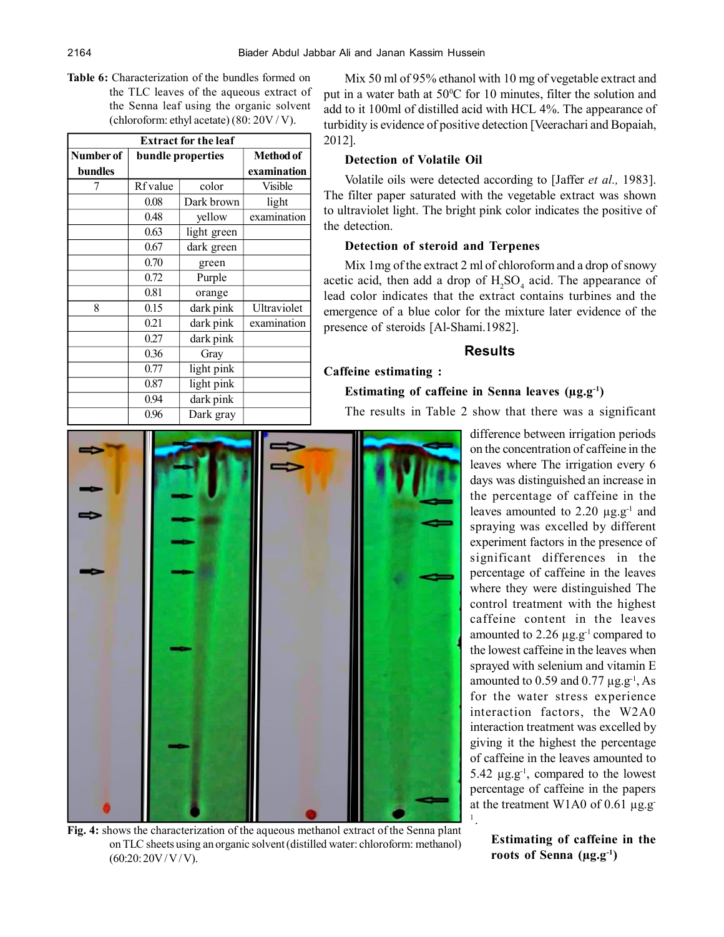**Table 6:** Characterization of the bundles formed on the TLC leaves of the aqueous extract of the Senna leaf using the organic solvent (chloroform: ethyl acetate) (80: 20V / V).

| <b>Extract for the leaf</b> |                   |             |                |  |  |  |  |  |
|-----------------------------|-------------------|-------------|----------------|--|--|--|--|--|
| Number of                   | bundle properties |             |                |  |  |  |  |  |
| <b>bundles</b>              |                   | examination |                |  |  |  |  |  |
|                             | Rf value          | color       | <b>Visible</b> |  |  |  |  |  |
|                             | 0.08              | Dark brown  | light          |  |  |  |  |  |
|                             | 0.48              | yellow      | examination    |  |  |  |  |  |
|                             | 0.63              | light green |                |  |  |  |  |  |
|                             | 0.67              | dark green  |                |  |  |  |  |  |
|                             | 0.70              | green       |                |  |  |  |  |  |
|                             | 0.72              | Purple      |                |  |  |  |  |  |
|                             | 0.81              | orange      |                |  |  |  |  |  |
| 8                           | 0.15              | dark pink   | Ultraviolet    |  |  |  |  |  |
|                             | 0.21              | dark pink   | examination    |  |  |  |  |  |
|                             | 0.27              | dark pink   |                |  |  |  |  |  |
|                             | 0.36              | Gray        |                |  |  |  |  |  |
|                             | 0.77              | light pink  |                |  |  |  |  |  |
|                             | 0.87              | light pink  |                |  |  |  |  |  |
|                             | 0.94              | dark pink   |                |  |  |  |  |  |
|                             | 0.96              | Dark gray   |                |  |  |  |  |  |

Mix 50 ml of 95% ethanol with 10 mg of vegetable extract and put in a water bath at  $50^{\circ}$ C for 10 minutes, filter the solution and add to it 100ml of distilled acid with HCL 4%. The appearance of turbidity is evidence of positive detection [Veerachari and Bopaiah, 2012].

#### **Detection of Volatile Oil**

Volatile oils were detected according to [Jaffer *et al.,* 1983]. The filter paper saturated with the vegetable extract was shown to ultraviolet light. The bright pink color indicates the positive of the detection.

#### **Detection of steroid and Terpenes**

Mix 1mg of the extract 2 ml of chloroform and a drop of snowy acetic acid, then add a drop of  $H_2SO_4$  acid. The appearance of lead color indicates that the extract contains turbines and the emergence of a blue color for the mixture later evidence of the presence of steroids [Al-Shami.1982].

## **Results**

## **Caffeine estimating :**

#### **Estimating of caffeine in Senna leaves (µg.g-1)**

1 .

The results in Table 2 show that there was a significant



**Fig. 4:** shows the characterization of the aqueous methanol extract of the Senna plant on TLC sheets using an organic solvent (distilled water: chloroform: methanol)  $(60:20:20V/V/V)$ .

difference between irrigation periods on the concentration of caffeine in the leaves where The irrigation every 6 days was distinguished an increase in the percentage of caffeine in the leaves amounted to  $2.20 \mu$ g.g<sup>-1</sup> and spraying was excelled by different experiment factors in the presence of significant differences in the percentage of caffeine in the leaves where they were distinguished The control treatment with the highest caffeine content in the leaves amounted to  $2.26 \mu$ g.g<sup>-1</sup> compared to the lowest caffeine in the leaves when sprayed with selenium and vitamin E amounted to  $0.59$  and  $0.77 \mu$ g.g<sup>-1</sup>, As for the water stress experience interaction factors, the W2A0 interaction treatment was excelled by giving it the highest the percentage of caffeine in the leaves amounted to 5.42  $\mu$ g.g<sup>-1</sup>, compared to the lowest percentage of caffeine in the papers at the treatment W1A0 of 0.61  $\mu$ g.g-

> **Estimating of caffeine in the roots of Senna (µg.g-1)**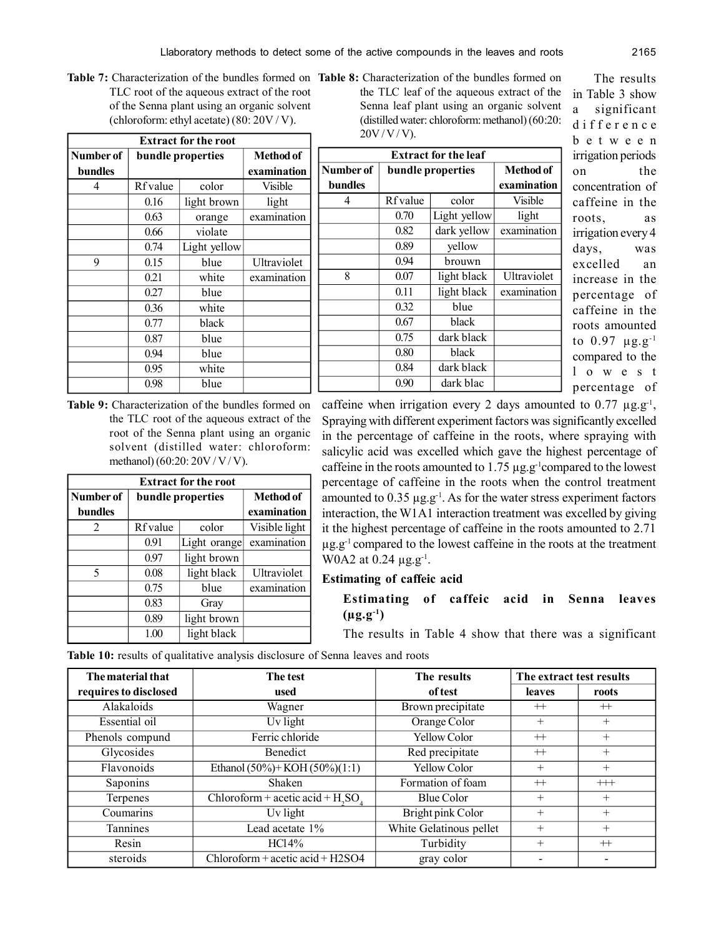Table 7: Characterization of the bundles formed on Table TLC root of the aqueous extract of the root of the Senna plant using an organic solvent (chloroform: ethyl acetate) (80: 20V / V).

 **Extract for the root**

| <b>Table 8:</b> Characterization of the bundles formed on |
|-----------------------------------------------------------|
| the TLC leaf of the aqueous extract of the                |
| Senna leaf plant using an organic solvent                 |
| (distilled water: chloroform: methanol) $(60:20)$ :       |
| $20V/V/V$ ).                                              |
|                                                           |

| Number of      |          | bundle properties | <b>Method of</b> |           | <b>Extract for the leaf</b> |              |                  |
|----------------|----------|-------------------|------------------|-----------|-----------------------------|--------------|------------------|
| <b>bundles</b> |          |                   | examination      | Number of | bundle properties           |              | <b>Method of</b> |
| 4              | Rf value | color             | Visible          | bundles   |                             |              | examination      |
|                | 0.16     | light brown       | light            | 4         | <b>Rf</b> value             | color        | <b>Visible</b>   |
|                | 0.63     | orange            | examination      |           | 0.70                        | Light yellow | light            |
|                | 0.66     | violate           |                  |           | 0.82                        | dark yellow  | examination      |
|                | 0.74     | Light yellow      |                  |           | 0.89                        | yellow       |                  |
| 9              | 0.15     | blue              | Ultraviolet      |           | 0.94                        | brouwn       |                  |
|                | 0.21     | white             | examination      | 8         | 0.07                        | light black  | Ultraviolet      |
|                | 0.27     | blue              |                  |           | 0.11                        | light black  | examination      |
|                | 0.36     | white             |                  |           | 0.32                        | blue         |                  |
|                | 0.77     | black             |                  |           | 0.67                        | black        |                  |
|                | 0.87     | blue              |                  |           | 0.75                        | dark black   |                  |
|                | 0.94     | blue              |                  |           | 0.80                        | black        |                  |
|                | 0.95     | white             |                  |           | 0.84                        | dark black   |                  |
|                | 0.98     | blue              |                  |           | 0.90                        | dark blac    |                  |

The results in Table 3 show a significant d ifference b e t w e e n irrigation periods on the concentration of caffeine in the roots, as irrigation every 4 days, was excelled an increase in the percentage of caffeine in the roots amounted to  $0.97 \ \mu g.g^{-1}$ compared to the l o w e s t percentage of

**Table 9:** Characterization of the bundles formed on the TLC root of the aqueous extract of the root of the Senna plant using an organic solvent (distilled water: chloroform: methanol) (60:20: 20V / V / V).

| <b>Extract for the root</b> |                     |                  |               |  |  |  |  |
|-----------------------------|---------------------|------------------|---------------|--|--|--|--|
| Number of                   | bundle properties   | <b>Method of</b> |               |  |  |  |  |
| <b>bundles</b>              |                     |                  | examination   |  |  |  |  |
| 2                           | Rf value            | color            | Visible light |  |  |  |  |
|                             | 0.91                | Light orange     | examination   |  |  |  |  |
|                             | 0.97<br>light brown |                  |               |  |  |  |  |
| 5                           | 0.08                | light black      | Ultraviolet   |  |  |  |  |
|                             | 0.75                | blue             | examination   |  |  |  |  |
|                             | 0.83                | Gray             |               |  |  |  |  |
|                             | 0.89                | light brown      |               |  |  |  |  |
|                             | 1.00                | light black      |               |  |  |  |  |

caffeine when irrigation every 2 days amounted to  $0.77 \mu g.g^{-1}$ , Spraying with different experiment factors was significantly excelled in the percentage of caffeine in the roots, where spraying with salicylic acid was excelled which gave the highest percentage of caffeine in the roots amounted to  $1.75 \mu$ g.g<sup>-1</sup>compared to the lowest percentage of caffeine in the roots when the control treatment amounted to  $0.35 \mu$ g.g<sup>-1</sup>. As for the water stress experiment factors interaction, the W1A1 interaction treatment was excelled by giving it the highest percentage of caffeine in the roots amounted to 2.71  $\mu$ g.g<sup>-1</sup> compared to the lowest caffeine in the roots at the treatment W0A2 at  $0.24 \mu$ g.g<sup>-1</sup>.

# **Estimating of caffeic acid**

**Estimating of caffeic acid in Senna leaves**  $(\mu g.g^{-1})$ 

The results in Table 4 show that there was a significant

Table 10: results of qualitative analysis disclosure of Senna leaves and roots

| The material that     | The test                              | The results             | The extract test results |         |
|-----------------------|---------------------------------------|-------------------------|--------------------------|---------|
| requires to disclosed | used                                  | of test                 | leaves                   | roots   |
| Alakaloids            | Wagner                                | Brown precipitate       | $^{++}$                  | $^{++}$ |
| Essential oil         | Uv light                              | Orange Color            | $^{+}$                   | $^{+}$  |
| Phenols compund       | Ferric chloride                       | <b>Yellow Color</b>     | $^{++}$                  | $^{+}$  |
| Glycosides            | Benedict                              | Red precipitate         | $^{++}$                  | $^{+}$  |
| Flavonoids            | Ethanol $(50\%)$ + KOH $(50\%)$ (1:1) | Yellow Color            | $^{+}$                   | $^{+}$  |
| Saponins              | Shaken                                | Formation of foam       | $^{++}$                  | $++$    |
| Terpenes              | Chloroform + acetic acid + $H2SO4$    | <b>Blue Color</b>       | $^{+}$                   | $^{+}$  |
| Coumarins             | Uv light                              | Bright pink Color       | $^{+}$                   | $^{+}$  |
| Tannines              | Lead acetate 1%                       | White Gelatinous pellet | $+$                      | $^{+}$  |
| Resin                 | HC14%                                 | Turbidity               | $^{+}$                   | $+$     |
| steroids              | Chloroform + acetic acid + $H2SO4$    | gray color              |                          |         |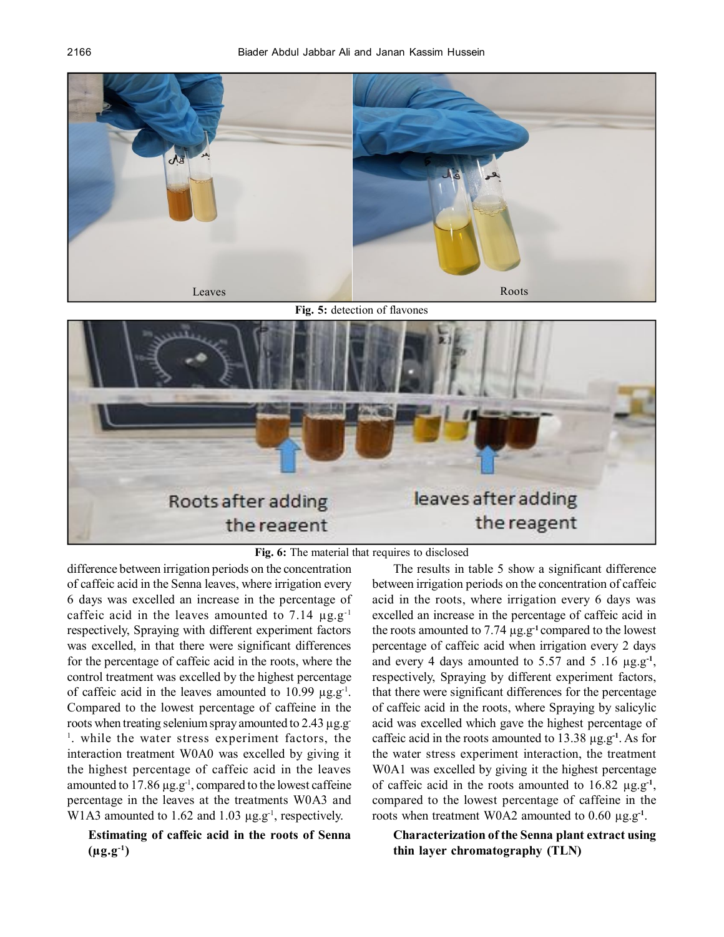

**Fig. 5:** detection of flavones



**Fig. 6:** The material that requires to disclosed

difference between irrigation periods on the concentration of caffeic acid in the Senna leaves, where irrigation every 6 days was excelled an increase in the percentage of caffeic acid in the leaves amounted to 7.14  $\mu$ g.g<sup>-1</sup> respectively, Spraying with different experiment factors was excelled, in that there were significant differences for the percentage of caffeic acid in the roots, where the control treatment was excelled by the highest percentage of caffeic acid in the leaves amounted to 10.99  $\mu$ g.g<sup>-1</sup>. Compared to the lowest percentage of caffeine in the roots when treating selenium spray amounted to 2.43 µg.g-<sup>1</sup>. while the water stress experiment factors, the interaction treatment W0A0 was excelled by giving it the highest percentage of caffeic acid in the leaves amounted to 17.86 µg.g<sup>-1</sup>, compared to the lowest caffeine percentage in the leaves at the treatments W0A3 and W1A3 amounted to 1.62 and 1.03  $\mu$ g.g<sup>-1</sup>, respectively.

**Estimating of caffeic acid in the roots of Senna**  $(\mu g. g^{-1})$ 

The results in table 5 show a significant difference between irrigation periods on the concentration of caffeic acid in the roots, where irrigation every 6 days was excelled an increase in the percentage of caffeic acid in the roots amounted to 7.74 µg.g**-1** compared to the lowest percentage of caffeic acid when irrigation every 2 days and every 4 days amounted to 5.57 and 5 .16 µg.g**-1** , respectively, Spraying by different experiment factors, that there were significant differences for the percentage of caffeic acid in the roots, where Spraying by salicylic acid was excelled which gave the highest percentage of caffeic acid in the roots amounted to 13.38 µg.g**-1**. As for the water stress experiment interaction, the treatment W0A1 was excelled by giving it the highest percentage of caffeic acid in the roots amounted to  $16.82 \mu g.g^{-1}$ , compared to the lowest percentage of caffeine in the roots when treatment W0A2 amounted to 0.60 µg.g**-1** .

## **Characterization of the Senna plant extract using thin layer chromatography (TLN)**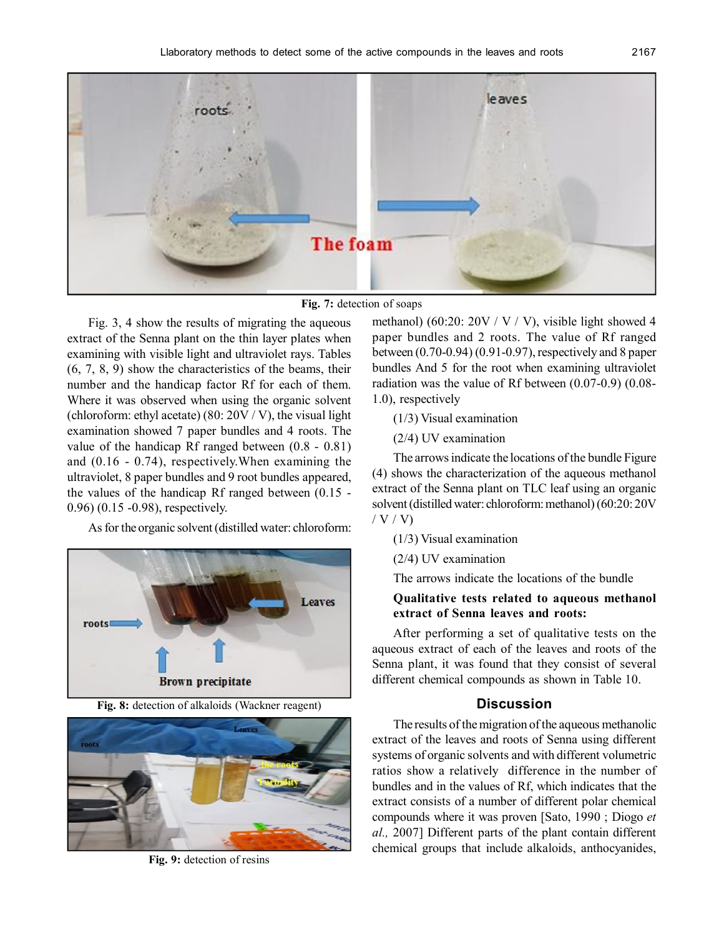

**Fig. 7:** detection of soaps

Fig. 3, 4 show the results of migrating the aqueous extract of the Senna plant on the thin layer plates when examining with visible light and ultraviolet rays. Tables (6, 7, 8, 9) show the characteristics of the beams, their number and the handicap factor Rf for each of them. Where it was observed when using the organic solvent (chloroform: ethyl acetate) (80: 20V / V), the visual light examination showed 7 paper bundles and 4 roots. The value of the handicap Rf ranged between (0.8 - 0.81) and (0.16 - 0.74), respectively.When examining the ultraviolet, 8 paper bundles and 9 root bundles appeared, the values of the handicap Rf ranged between (0.15 - 0.96) (0.15 -0.98), respectively.

As for the organic solvent (distilled water: chloroform:



**Fig. 8:** detection of alkaloids (Wackner reagent)



**Fig. 9:** detection of resins

methanol) (60:20:  $20V / V / V$ ), visible light showed 4 paper bundles and 2 roots. The value of Rf ranged between (0.70-0.94) (0.91-0.97), respectively and 8 paper bundles And 5 for the root when examining ultraviolet radiation was the value of Rf between (0.07-0.9) (0.08- 1.0), respectively

(1/3) Visual examination

(2/4) UV examination

The arrows indicate the locations of the bundle Figure (4) shows the characterization of the aqueous methanol extract of the Senna plant on TLC leaf using an organic solvent (distilled water: chloroform: methanol) (60:20: 20V / V / V)

(1/3) Visual examination

(2/4) UV examination

The arrows indicate the locations of the bundle

## **Qualitative tests related to aqueous methanol extract of Senna leaves and roots:**

After performing a set of qualitative tests on the aqueous extract of each of the leaves and roots of the Senna plant, it was found that they consist of several different chemical compounds as shown in Table 10.

#### **Discussion**

The results of the migration of the aqueous methanolic extract of the leaves and roots of Senna using different systems of organic solvents and with different volumetric ratios show a relatively difference in the number of bundles and in the values of Rf, which indicates that the extract consists of a number of different polar chemical compounds where it was proven [Sato, 1990 ; Diogo *et al.,* 2007] Different parts of the plant contain different chemical groups that include alkaloids, anthocyanides,